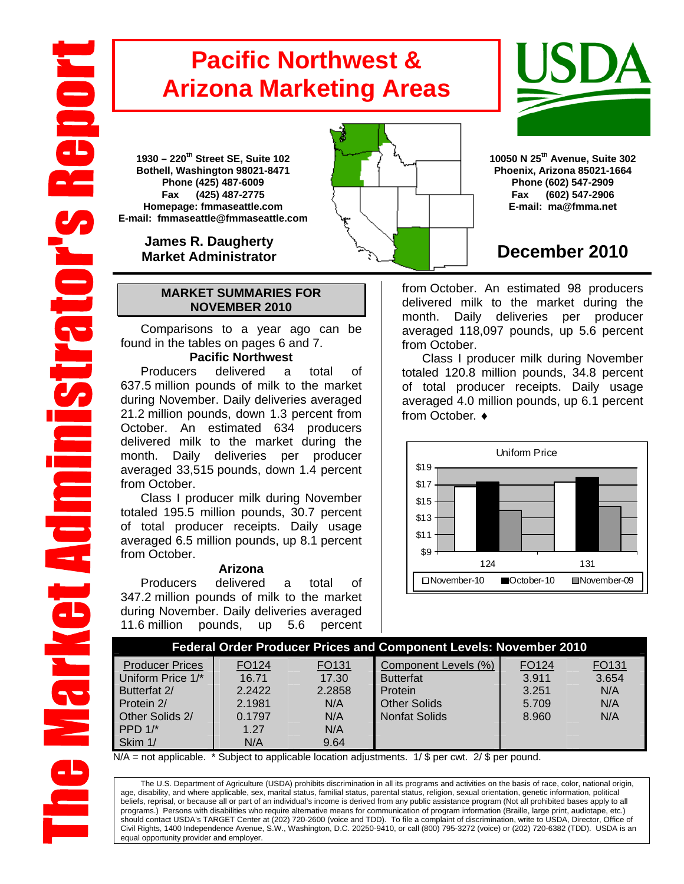# **Pacific Northwest & Arizona Marketing Areas**

**1930 – 220th Street SE, Suite 102 Bothell, Washington 98021-8471 Phone (425) 487-6009 Fax (425) 487-2775 Homepage: fmmaseattle.com E-mail: fmmaseattle@fmmaseattle.com**

> **James R. Daugherty Market Administrator**

### **MARKET SUMMARIES FOR NOVEMBER 2010**

 Comparisons to a year ago can be found in the tables on pages 6 and 7.

### **Pacific Northwest**

Producers delivered a total of 637.5 million pounds of milk to the market during November. Daily deliveries averaged 21.2 million pounds, down 1.3 percent from October. An estimated 634 producers delivered milk to the market during the month. Daily deliveries per producer averaged 33,515 pounds, down 1.4 percent from October.

Class I producer milk during November totaled 195.5 million pounds, 30.7 percent of total producer receipts. Daily usage averaged 6.5 million pounds, up 8.1 percent from October.

#### **Arizona**

Producers delivered a total of 347.2 million pounds of milk to the market during November. Daily deliveries averaged 11.6 million pounds, up 5.6 percent



## **December 2010**

from October. An estimated 98 producers delivered milk to the market during the month. Daily deliveries per producer averaged 118,097 pounds, up 5.6 percent from October.

Class I producer milk during November totaled 120.8 million pounds, 34.8 percent of total producer receipts. Daily usage averaged 4.0 million pounds, up 6.1 percent from October. ♦



| Federal Order Producer Prices and Component Levels: November 2010 |                |                |                                          |                            |                |  |  |  |  |
|-------------------------------------------------------------------|----------------|----------------|------------------------------------------|----------------------------|----------------|--|--|--|--|
| <b>Producer Prices</b><br>Uniform Price 1/*                       | FO124<br>16.71 | FO131<br>17.30 | Component Levels (%)<br><b>Butterfat</b> | FO <sub>124</sub><br>3.911 | FO131<br>3.654 |  |  |  |  |
| Butterfat 2/                                                      | 2.2422         | 2.2858         | Protein                                  | 3.251                      | N/A            |  |  |  |  |
| Protein 2/                                                        | 2.1981         | N/A            | <b>Other Solids</b>                      | 5.709                      | N/A            |  |  |  |  |
| Other Solids 2/                                                   | 0.1797         | N/A            | <b>Nonfat Solids</b>                     | 8.960                      | N/A            |  |  |  |  |
| PPD $1$ <sup>*</sup>                                              | 1.27           | N/A            |                                          |                            |                |  |  |  |  |
| Skim 1/                                                           | N/A            | 9.64           |                                          |                            |                |  |  |  |  |

 $N/A$  = not applicable. \* Subject to applicable location adjustments. 1/ \$ per cwt. 2/ \$ per pound.

The U.S. Department of Agriculture (USDA) prohibits discrimination in all its programs and activities on the basis of race, color, national origin, age, disability, and where applicable, sex, marital status, familial status, parental status, religion, sexual orientation, genetic information, political beliefs, reprisal, or because all or part of an individual's income is derived from any public assistance program (Not all prohibited bases apply to all programs.) Persons with disabilities who require alternative means for communication of program information (Braille, large print, audiotape, etc.) should contact USDA's TARGET Center at (202) 720-2600 (voice and TDD). To file a complaint of discrimination, write to USDA, Director, Office of Civil Rights, 1400 Independence Avenue, S.W., Washington, D.C. 20250-9410, or call (800) 795-3272 (voice) or (202) 720-6382 (TDD). USDA is an equal opportunity provider and employer.

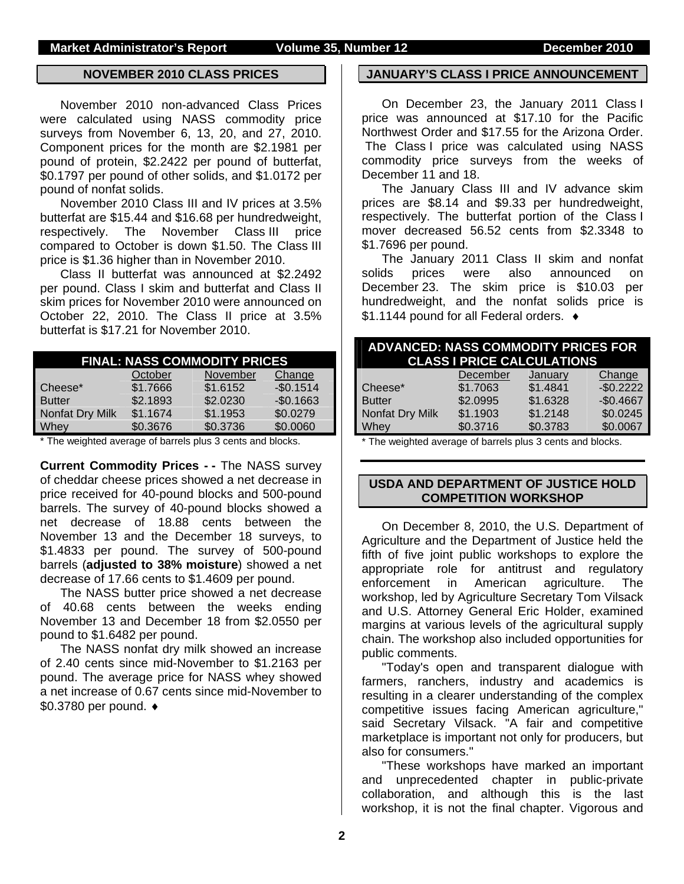#### **NOVEMBER 2010 CLASS PRICES**

November 2010 non-advanced Class Prices were calculated using NASS commodity price surveys from November 6, 13, 20, and 27, 2010. Component prices for the month are \$2.1981 per pound of protein, \$2.2422 per pound of butterfat, \$0.1797 per pound of other solids, and \$1.0172 per pound of nonfat solids.

November 2010 Class III and IV prices at 3.5% butterfat are \$15.44 and \$16.68 per hundredweight, respectively. The November Class III price compared to October is down \$1.50. The Class III price is \$1.36 higher than in November 2010.

Class II butterfat was announced at \$2.2492 per pound. Class I skim and butterfat and Class II skim prices for November 2010 were announced on October 22, 2010. The Class II price at 3.5% butterfat is \$17.21 for November 2010.

| <b>FINAL: NASS COMMODITY PRICES</b> |          |          |            |  |  |  |  |
|-------------------------------------|----------|----------|------------|--|--|--|--|
|                                     | October  | November | Change     |  |  |  |  |
| Cheese*                             | \$1.7666 | \$1.6152 | $-$0.1514$ |  |  |  |  |
| <b>Butter</b>                       | \$2.1893 | \$2.0230 | $-$0.1663$ |  |  |  |  |
| Nonfat Dry Milk                     | \$1.1674 | \$1.1953 | \$0.0279   |  |  |  |  |
| Whey                                | \$0.3676 | \$0.3736 | \$0.0060   |  |  |  |  |

\* The weighted average of barrels plus 3 cents and blocks.

**Current Commodity Prices - -** The NASS survey of cheddar cheese prices showed a net decrease in price received for 40-pound blocks and 500-pound barrels. The survey of 40-pound blocks showed a net decrease of 18.88 cents between the November 13 and the December 18 surveys, to \$1.4833 per pound. The survey of 500-pound barrels (**adjusted to 38% moisture**) showed a net decrease of 17.66 cents to \$1.4609 per pound.

The NASS butter price showed a net decrease of 40.68 cents between the weeks ending November 13 and December 18 from \$2.0550 per pound to \$1.6482 per pound.

The NASS nonfat dry milk showed an increase of 2.40 cents since mid-November to \$1.2163 per pound. The average price for NASS whey showed a net increase of 0.67 cents since mid-November to \$0.3780 per pound. ♦

#### **JANUARY'S CLASS I PRICE ANNOUNCEMENT**

On December 23, the January 2011 Class I price was announced at \$17.10 for the Pacific Northwest Order and \$17.55 for the Arizona Order. The Class I price was calculated using NASS commodity price surveys from the weeks of December 11 and 18.

The January Class III and IV advance skim prices are \$8.14 and \$9.33 per hundredweight, respectively. The butterfat portion of the Class I mover decreased 56.52 cents from \$2.3348 to \$1.7696 per pound.

The January 2011 Class II skim and nonfat solids prices were also announced on December 23. The skim price is \$10.03 per hundredweight, and the nonfat solids price is \$1.1144 pound for all Federal orders. ♦

| <b>ADVANCED: NASS COMMODITY PRICES FOR</b>                 | <b>CLASS I PRICE CALCULATIONS</b> |          |            |
|------------------------------------------------------------|-----------------------------------|----------|------------|
|                                                            | December                          | January  | Change     |
| Cheese*                                                    | \$1.7063                          | \$1.4841 | $-$0.2222$ |
| <b>Butter</b>                                              | \$2.0995                          | \$1.6328 | $-$0.4667$ |
| Nonfat Dry Milk                                            | \$1.1903                          | \$1.2148 | \$0.0245   |
| <b>Whey</b>                                                | \$0.3716                          | \$0.3783 | \$0.0067   |
| * The weighted average of barrels plus 3 cents and blocks. |                                   |          |            |

\* The weighted average of barrels plus 3 cents and blocks.

### **USDA AND DEPARTMENT OF JUSTICE HOLD COMPETITION WORKSHOP**

On December 8, 2010, the U.S. Department of Agriculture and the Department of Justice held the fifth of five joint public workshops to explore the appropriate role for antitrust and regulatory enforcement in American agriculture. The workshop, led by Agriculture Secretary Tom Vilsack and U.S. Attorney General Eric Holder, examined margins at various levels of the agricultural supply chain. The workshop also included opportunities for public comments.

"Today's open and transparent dialogue with farmers, ranchers, industry and academics is resulting in a clearer understanding of the complex competitive issues facing American agriculture," said Secretary Vilsack. "A fair and competitive marketplace is important not only for producers, but also for consumers."

"These workshops have marked an important and unprecedented chapter in public-private collaboration, and although this is the last workshop, it is not the final chapter. Vigorous and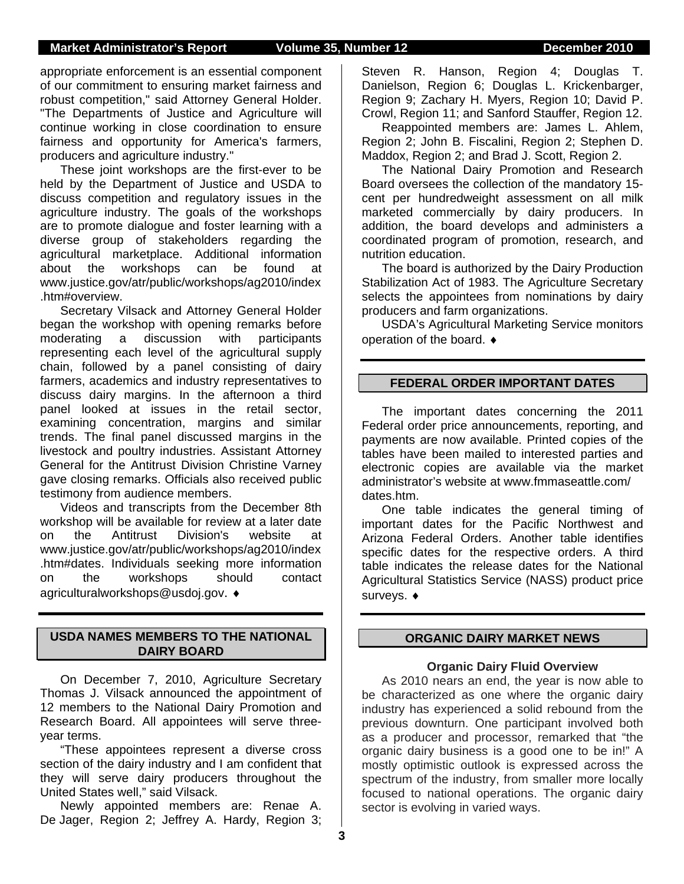appropriate enforcement is an essential component of our commitment to ensuring market fairness and robust competition," said Attorney General Holder. "The Departments of Justice and Agriculture will continue working in close coordination to ensure fairness and opportunity for America's farmers, producers and agriculture industry."

These joint workshops are the first-ever to be held by the Department of Justice and USDA to discuss competition and regulatory issues in the agriculture industry. The goals of the workshops are to promote dialogue and foster learning with a diverse group of stakeholders regarding the agricultural marketplace. Additional information about the workshops can be found at www.justice.gov/atr/public/workshops/ag2010/index .htm#overview.

Secretary Vilsack and Attorney General Holder began the workshop with opening remarks before moderating a discussion with participants representing each level of the agricultural supply chain, followed by a panel consisting of dairy farmers, academics and industry representatives to discuss dairy margins. In the afternoon a third panel looked at issues in the retail sector, examining concentration, margins and similar trends. The final panel discussed margins in the livestock and poultry industries. Assistant Attorney General for the Antitrust Division Christine Varney gave closing remarks. Officials also received public testimony from audience members.

Videos and transcripts from the December 8th workshop will be available for review at a later date on the Antitrust Division's website at www.justice.gov/atr/public/workshops/ag2010/index .htm#dates. Individuals seeking more information on the workshops should contact agriculturalworkshops@usdoj.gov. ♦

#### **USDA NAMES MEMBERS TO THE NATIONAL DAIRY BOARD**

On December 7, 2010, Agriculture Secretary Thomas J. Vilsack announced the appointment of 12 members to the National Dairy Promotion and Research Board. All appointees will serve threeyear terms.

"These appointees represent a diverse cross section of the dairy industry and I am confident that they will serve dairy producers throughout the United States well," said Vilsack.

Newly appointed members are: Renae A. De Jager, Region 2; Jeffrey A. Hardy, Region 3; Steven R. Hanson, Region 4; Douglas T. Danielson, Region 6; Douglas L. Krickenbarger, Region 9; Zachary H. Myers, Region 10; David P. Crowl, Region 11; and Sanford Stauffer, Region 12.

Reappointed members are: James L. Ahlem, Region 2; John B. Fiscalini, Region 2; Stephen D. Maddox, Region 2; and Brad J. Scott, Region 2.

The National Dairy Promotion and Research Board oversees the collection of the mandatory 15 cent per hundredweight assessment on all milk marketed commercially by dairy producers. In addition, the board develops and administers a coordinated program of promotion, research, and nutrition education.

The board is authorized by the Dairy Production Stabilization Act of 1983. The Agriculture Secretary selects the appointees from nominations by dairy producers and farm organizations.

USDA's Agricultural Marketing Service monitors operation of the board. ♦

#### **FEDERAL ORDER IMPORTANT DATES**

The important dates concerning the 2011 Federal order price announcements, reporting, and payments are now available. Printed copies of the tables have been mailed to interested parties and electronic copies are available via the market administrator's website at www.fmmaseattle.com/ dates.htm.

One table indicates the general timing of important dates for the Pacific Northwest and Arizona Federal Orders. Another table identifies specific dates for the respective orders. A third table indicates the release dates for the National Agricultural Statistics Service (NASS) product price surveys. ♦

### **ORGANIC DAIRY MARKET NEWS**

#### **Organic Dairy Fluid Overview**

As 2010 nears an end, the year is now able to be characterized as one where the organic dairy industry has experienced a solid rebound from the previous downturn. One participant involved both as a producer and processor, remarked that "the organic dairy business is a good one to be in!" A mostly optimistic outlook is expressed across the spectrum of the industry, from smaller more locally focused to national operations. The organic dairy sector is evolving in varied ways.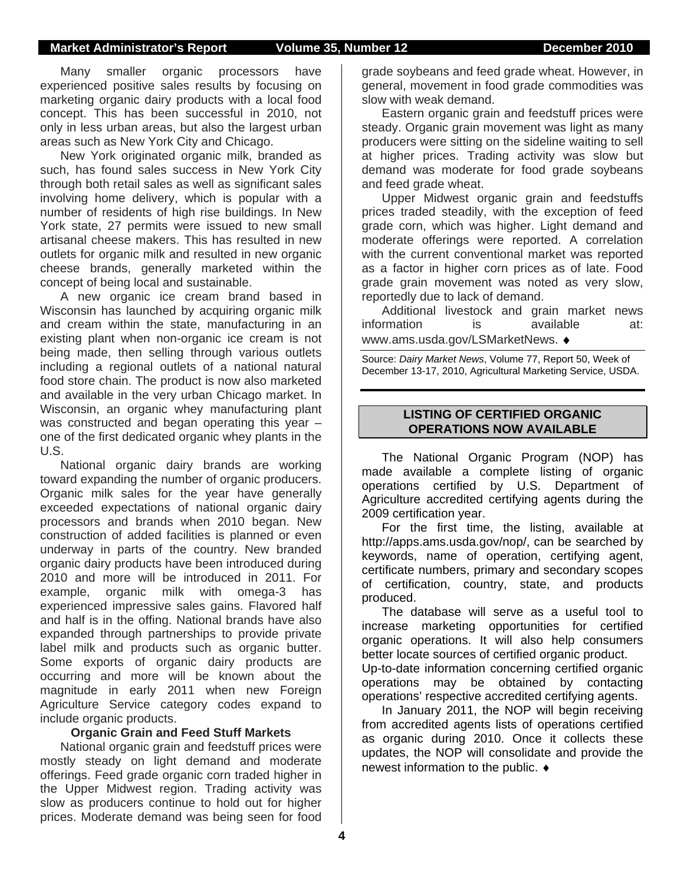### **Market Administrator's Report Volume 35, Number 12 December 2010**

Many smaller organic processors have experienced positive sales results by focusing on marketing organic dairy products with a local food concept. This has been successful in 2010, not only in less urban areas, but also the largest urban areas such as New York City and Chicago.

New York originated organic milk, branded as such, has found sales success in New York City through both retail sales as well as significant sales involving home delivery, which is popular with a number of residents of high rise buildings. In New York state, 27 permits were issued to new small artisanal cheese makers. This has resulted in new outlets for organic milk and resulted in new organic cheese brands, generally marketed within the concept of being local and sustainable.

A new organic ice cream brand based in Wisconsin has launched by acquiring organic milk and cream within the state, manufacturing in an existing plant when non-organic ice cream is not being made, then selling through various outlets including a regional outlets of a national natural food store chain. The product is now also marketed and available in the very urban Chicago market. In Wisconsin, an organic whey manufacturing plant was constructed and began operating this year – one of the first dedicated organic whey plants in the U.S.

National organic dairy brands are working toward expanding the number of organic producers. Organic milk sales for the year have generally exceeded expectations of national organic dairy processors and brands when 2010 began. New construction of added facilities is planned or even underway in parts of the country. New branded organic dairy products have been introduced during 2010 and more will be introduced in 2011. For example, organic milk with omega-3 has experienced impressive sales gains. Flavored half and half is in the offing. National brands have also expanded through partnerships to provide private label milk and products such as organic butter. Some exports of organic dairy products are occurring and more will be known about the magnitude in early 2011 when new Foreign Agriculture Service category codes expand to include organic products.

#### **Organic Grain and Feed Stuff Markets**

National organic grain and feedstuff prices were mostly steady on light demand and moderate offerings. Feed grade organic corn traded higher in the Upper Midwest region. Trading activity was slow as producers continue to hold out for higher prices. Moderate demand was being seen for food

grade soybeans and feed grade wheat. However, in general, movement in food grade commodities was slow with weak demand.

Eastern organic grain and feedstuff prices were steady. Organic grain movement was light as many producers were sitting on the sideline waiting to sell at higher prices. Trading activity was slow but demand was moderate for food grade soybeans and feed grade wheat.

Upper Midwest organic grain and feedstuffs prices traded steadily, with the exception of feed grade corn, which was higher. Light demand and moderate offerings were reported. A correlation with the current conventional market was reported as a factor in higher corn prices as of late. Food grade grain movement was noted as very slow, reportedly due to lack of demand.

Additional livestock and grain market news information is available at: www.ams.usda.gov/LSMarketNews. ♦

Source: *Dairy Market News*, Volume 77, Report 50, Week of December 13-17, 2010, Agricultural Marketing Service, USDA.

### **LISTING OF CERTIFIED ORGANIC OPERATIONS NOW AVAILABLE**

The National Organic Program (NOP) has made available a complete listing of organic operations certified by U.S. Department of Agriculture accredited certifying agents during the 2009 certification year.

For the first time, the listing, available at http://apps.ams.usda.gov/nop/, can be searched by keywords, name of operation, certifying agent, certificate numbers, primary and secondary scopes of certification, country, state, and products produced.

The database will serve as a useful tool to increase marketing opportunities for certified organic operations. It will also help consumers better locate sources of certified organic product. Up-to-date information concerning certified organic

operations may be obtained by contacting operations' respective accredited certifying agents.

In January 2011, the NOP will begin receiving from accredited agents lists of operations certified as organic during 2010. Once it collects these updates, the NOP will consolidate and provide the newest information to the public. ♦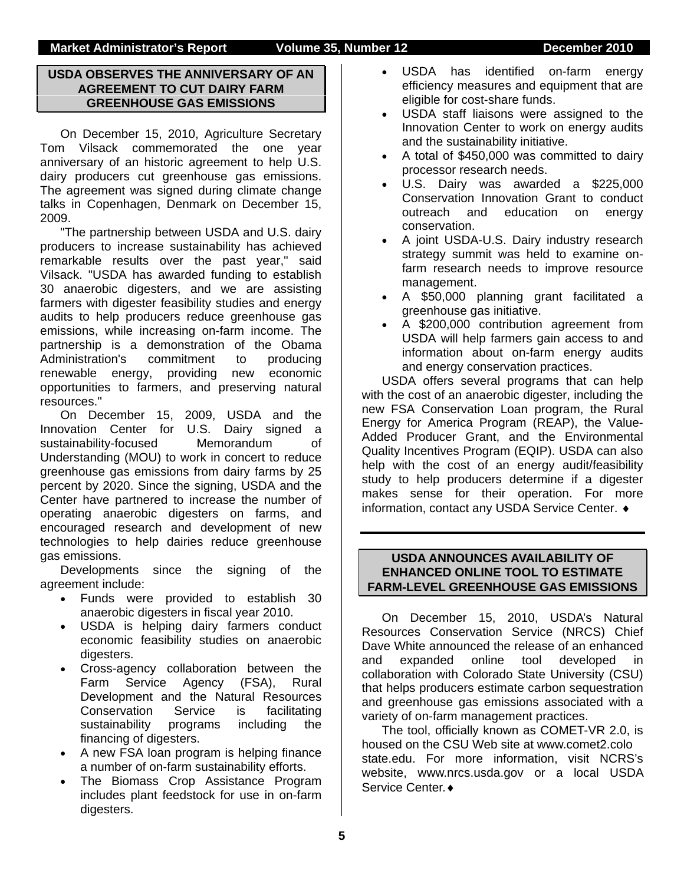### **USDA OBSERVES THE ANNIVERSARY OF AN AGREEMENT TO CUT DAIRY FARM GREENHOUSE GAS EMISSIONS**

On December 15, 2010, Agriculture Secretary Tom Vilsack commemorated the one year anniversary of an historic agreement to help U.S. dairy producers cut greenhouse gas emissions. The agreement was signed during climate change talks in Copenhagen, Denmark on December 15, 2009.

"The partnership between USDA and U.S. dairy producers to increase sustainability has achieved remarkable results over the past year," said Vilsack. "USDA has awarded funding to establish 30 anaerobic digesters, and we are assisting farmers with digester feasibility studies and energy audits to help producers reduce greenhouse gas emissions, while increasing on-farm income. The partnership is a demonstration of the Obama Administration's commitment to producing renewable energy, providing new economic opportunities to farmers, and preserving natural resources."

On December 15, 2009, USDA and the Innovation Center for U.S. Dairy signed a sustainability-focused Memorandum of Understanding (MOU) to work in concert to reduce greenhouse gas emissions from dairy farms by 25 percent by 2020. Since the signing, USDA and the Center have partnered to increase the number of operating anaerobic digesters on farms, and encouraged research and development of new technologies to help dairies reduce greenhouse gas emissions.

Developments since the signing of the agreement include:

- Funds were provided to establish 30 anaerobic digesters in fiscal year 2010.
- USDA is helping dairy farmers conduct economic feasibility studies on anaerobic digesters.
- Cross-agency collaboration between the Farm Service Agency (FSA), Rural Development and the Natural Resources Conservation Service is facilitating sustainability programs including the financing of digesters.
- A new FSA loan program is helping finance a number of on-farm sustainability efforts.
- The Biomass Crop Assistance Program includes plant feedstock for use in on-farm digesters.
- USDA has identified on-farm energy efficiency measures and equipment that are eligible for cost-share funds.
- USDA staff liaisons were assigned to the Innovation Center to work on energy audits and the sustainability initiative.
- A total of \$450,000 was committed to dairy processor research needs.
- U.S. Dairy was awarded a \$225,000 Conservation Innovation Grant to conduct outreach and education on energy conservation.
- A joint USDA-U.S. Dairy industry research strategy summit was held to examine onfarm research needs to improve resource management.
- A \$50,000 planning grant facilitated a greenhouse gas initiative.
- A \$200,000 contribution agreement from USDA will help farmers gain access to and information about on-farm energy audits and energy conservation practices.

USDA offers several programs that can help with the cost of an anaerobic digester, including the new FSA Conservation Loan program, the Rural Energy for America Program (REAP), the Value-Added Producer Grant, and the Environmental Quality Incentives Program (EQIP). USDA can also help with the cost of an energy audit/feasibility study to help producers determine if a digester makes sense for their operation. For more information, contact any USDA Service Center. ♦

### **USDA ANNOUNCES AVAILABILITY OF ENHANCED ONLINE TOOL TO ESTIMATE FARM-LEVEL GREENHOUSE GAS EMISSIONS**

On December 15, 2010, USDA's Natural Resources Conservation Service (NRCS) Chief Dave White announced the release of an enhanced and expanded online tool developed in collaboration with Colorado State University (CSU) that helps producers estimate carbon sequestration and greenhouse gas emissions associated with a variety of on-farm management practices.

The tool, officially known as COMET-VR 2.0, is housed on the CSU Web site at www.comet2.colo state.edu. For more information, visit NCRS's website, www.nrcs.usda.gov or a local USDA Service Center.♦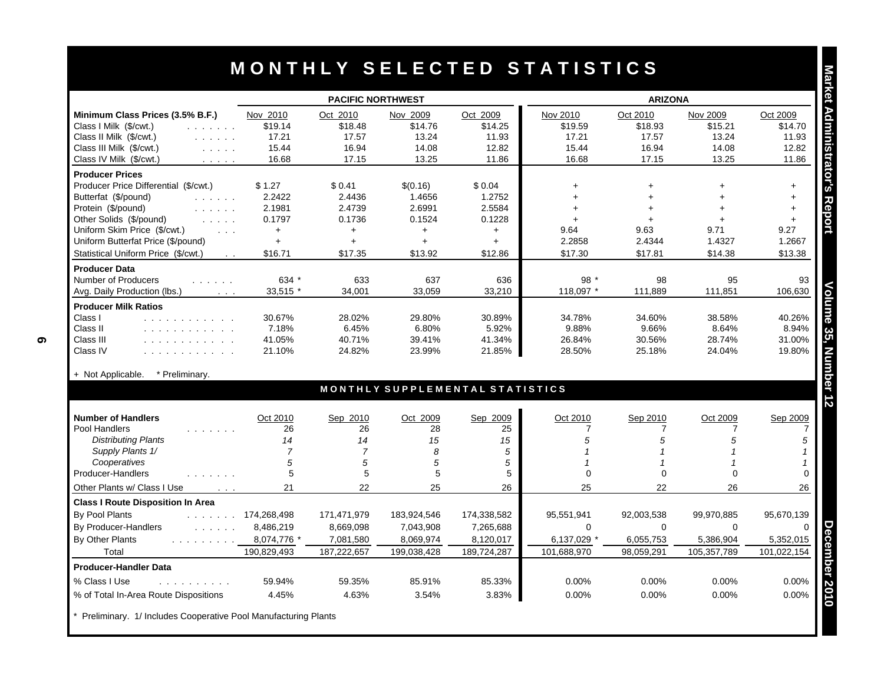|                                                                                                                                                   | <b>PACIFIC NORTHWEST</b> |                 |                                 |                 | <b>ARIZONA</b>    |                |                |                |
|---------------------------------------------------------------------------------------------------------------------------------------------------|--------------------------|-----------------|---------------------------------|-----------------|-------------------|----------------|----------------|----------------|
| Minimum Class Prices (3.5% B.F.)                                                                                                                  | Nov 2010                 | Oct 2010        | Nov 2009                        | Oct 2009        | Nov 2010          | Oct 2010       | Nov 2009       | Oct 2009       |
| Class I Milk (\$/cwt.)<br>and a straight                                                                                                          | \$19.14                  | \$18.48         | \$14.76                         | \$14.25         | \$19.59           | \$18.93        | \$15.21        | \$14.70        |
| Class II Milk (\$/cwt.)<br>$\mathcal{L}^{\mathcal{A}}$ , and $\mathcal{L}^{\mathcal{A}}$ , and $\mathcal{L}^{\mathcal{A}}$                        | 17.21                    | 17.57           | 13.24                           | 11.93           | 17.21             | 17.57          | 13.24          | 11.93          |
| Class III Milk (\$/cwt.)<br>$\mathcal{L}^{\mathcal{A}}$ , $\mathcal{L}^{\mathcal{A}}$ , $\mathcal{L}^{\mathcal{A}}$ , $\mathcal{L}^{\mathcal{A}}$ | 15.44                    | 16.94           | 14.08                           | 12.82           | 15.44             | 16.94          | 14.08          | 12.82          |
| Class IV Milk (\$/cwt.)<br>and a state                                                                                                            | 16.68                    | 17.15           | 13.25                           | 11.86           | 16.68             | 17.15          | 13.25          | 11.86          |
| <b>Producer Prices</b>                                                                                                                            |                          |                 |                                 |                 |                   |                |                |                |
| Producer Price Differential (\$/cwt.)                                                                                                             | \$1.27                   | \$0.41          | \$(0.16)                        | \$0.04          | $\ddot{}$         | $\ddot{}$      | $\ddot{}$      | $+$            |
| Butterfat (\$/pound)<br>and a state of                                                                                                            | 2.2422                   | 2.4436          | 1.4656                          | 1.2752          | $\ddot{}$         | $\ddot{}$      |                | $+$            |
| Protein (\$/pound)                                                                                                                                | 2.1981                   | 2.4739          | 2.6991                          | 2.5584          | $+$               | $+$            | ÷              | $+$            |
| Other Solids (\$/pound)<br>and a state<br>Uniform Skim Price (\$/cwt.)                                                                            | 0.1797                   | 0.1736          | 0.1524                          | 0.1228          | $+$               | $+$            | ÷              | $+$            |
| $\mathbf{1}$<br>Uniform Butterfat Price (\$/pound)                                                                                                | $+$<br>$+$               | $+$<br>$+$      | $+$<br>$+$                      | $+$<br>$+$      | 9.64<br>2.2858    | 9.63<br>2.4344 | 9.71<br>1.4327 | 9.27<br>1.2667 |
| Statistical Uniform Price (\$/cwt.)                                                                                                               | \$16.71                  | \$17.35         | \$13.92                         | \$12.86         | \$17.30           | \$17.81        |                |                |
| $\sim 100$                                                                                                                                        |                          |                 |                                 |                 |                   |                | \$14.38        | \$13.38        |
| <b>Producer Data</b><br>Number of Producers<br>$\mathcal{L}^{\mathcal{A}}$ . The same $\mathcal{L}^{\mathcal{A}}$                                 | 634 *                    | 633             | 637                             | 636             | 98 $*$            | 98             | 95             | 93             |
| Avg. Daily Production (lbs.)<br>$\sim 100$ .                                                                                                      | 33,515 *                 | 34.001          | 33,059                          | 33,210          | 118,097 *         | 111,889        | 111,851        | 106,630        |
|                                                                                                                                                   |                          |                 |                                 |                 |                   |                |                |                |
| <b>Producer Milk Ratios</b><br>Class I                                                                                                            | 30.67%                   | 28.02%          | 29.80%                          | 30.89%          | 34.78%            | 34.60%         | 38.58%         | 40.26%         |
| .<br>Class II                                                                                                                                     | 7.18%                    | 6.45%           | 6.80%                           | 5.92%           | 9.88%             | 9.66%          | 8.64%          | 8.94%          |
| .<br>Class III<br>.                                                                                                                               | 41.05%                   | 40.71%          | 39.41%                          | 41.34%          | 26.84%            | 30.56%         | 28.74%         | 31.00%         |
| Class IV<br>.                                                                                                                                     | 21.10%                   | 24.82%          | 23.99%                          | 21.85%          | 28.50%            | 25.18%         | 24.04%         | 19.80%         |
|                                                                                                                                                   |                          |                 |                                 |                 |                   |                |                |                |
| * Preliminarv.<br>+ Not Applicable.                                                                                                               |                          |                 |                                 |                 |                   |                |                |                |
|                                                                                                                                                   |                          |                 | MONTHLY SUPPLEMENTAL STATISTICS |                 |                   |                |                |                |
| <b>Number of Handlers</b>                                                                                                                         | Oct 2010                 | Sep 2010        | Oct 2009                        | Sep 2009        | Oct 2010          | Sep 2010       | Oct 2009       | Sep 2009       |
| Pool Handlers<br>.                                                                                                                                | 26                       | 26              | 28                              | 25              | $\overline{7}$    | $\overline{7}$ | 7              |                |
| <b>Distributing Plants</b>                                                                                                                        | 14                       | 14              | 15                              | 15              | 5                 | 5              | 5              |                |
| Supply Plants 1/                                                                                                                                  | $\overline{7}$           | $\overline{7}$  | 8                               | 5               | $\overline{1}$    | $\overline{1}$ |                |                |
| Cooperatives                                                                                                                                      | 5                        | 5               | 5                               | 5               | $\mathbf{1}$      | $\mathbf 1$    |                |                |
| Producer-Handlers                                                                                                                                 | 5                        | 5               | 5                               | 5               | $\Omega$          | $\Omega$       | $\Omega$       |                |
| Other Plants w/ Class I Use<br>$\mathcal{L}^{\mathcal{A}}$ and $\mathcal{L}^{\mathcal{A}}$                                                        | 21                       | 22              | 25                              | 26              | 25                | 22             | 26             | 26             |
| <b>Class I Route Disposition In Area</b>                                                                                                          |                          |                 |                                 |                 |                   |                |                |                |
| By Pool Plants                                                                                                                                    | $\ldots$ 174,268,498     | 171,471,979     | 183,924,546                     | 174,338,582     | 95,551,941        | 92,003,538     | 99,970,885     | 95,670,139     |
| By Producer-Handlers                                                                                                                              | 8,486,219                | 8,669,098       | 7,043,908                       | 7,265,688       | $\Omega$          | $\Omega$       | $\Omega$       |                |
| By Other Plants<br>and a straight and straight                                                                                                    | 8,074,776 *              | 7,081,580       | 8,069,974                       | 8,120,017       | 6,137,029 *       | 6,055,753      | 5,386,904      | 5,352,015      |
| Total                                                                                                                                             | 190,829,493              | 187,222,657     | 199,038,428                     | 189,724,287     | 101,688,970       | 98,059,291     | 105,357,789    | 101,022,154    |
| <b>Producer-Handler Data</b>                                                                                                                      |                          |                 |                                 |                 |                   |                |                |                |
|                                                                                                                                                   |                          |                 |                                 |                 |                   |                |                |                |
|                                                                                                                                                   |                          |                 |                                 |                 |                   |                |                |                |
| % Class I Use<br>.<br>% of Total In-Area Route Dispositions                                                                                       | 59.94%<br>4.45%          | 59.35%<br>4.63% | 85.91%<br>3.54%                 | 85.33%<br>3.83% | 0.00%<br>$0.00\%$ | 0.00%<br>0.00% | 0.00%<br>0.00% | 0.00%<br>0.00% |

Preliminary. 1/ Includes Cooperative Pool Manufacturing Plants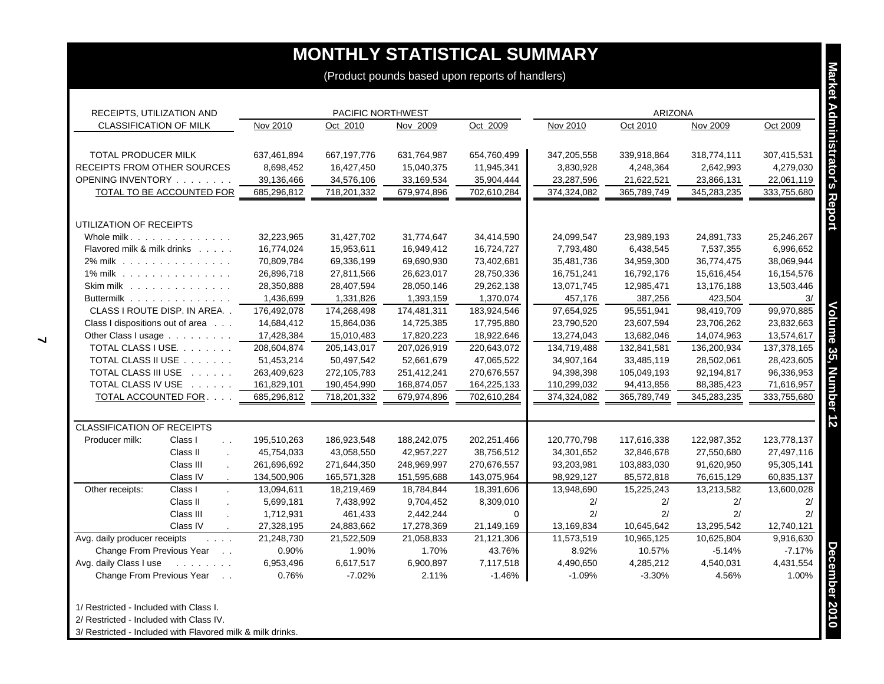| RECEIPTS, UTILIZATION AND                                         |             | PACIFIC NORTHWEST |             |             | ARIZONA     |             |             |             |
|-------------------------------------------------------------------|-------------|-------------------|-------------|-------------|-------------|-------------|-------------|-------------|
| CLASSIFICATION OF MILK                                            | Nov 2010    | Oct 2010          | Nov 2009    | Oct 2009    | Nov 2010    | Oct 2010    | Nov 2009    | Oct 2009    |
| TOTAL PRODUCER MILK                                               | 637,461,894 | 667,197,776       | 631,764,987 | 654,760,499 | 347,205,558 | 339,918,864 | 318,774,111 | 307,415,531 |
| RECEIPTS FROM OTHER SOURCES                                       | 8,698,452   | 16,427,450        | 15,040,375  | 11,945,341  | 3,830,928   | 4,248,364   | 2,642,993   | 4,279,030   |
| OPENING INVENTORY                                                 | 39,136,466  | 34,576,106        | 33,169,534  | 35,904,444  | 23,287,596  | 21,622,521  | 23,866,131  | 22,061,119  |
| <b>TOTAL TO BE ACCOUNTED FOR</b>                                  | 685,296,812 | 718,201,332       | 679,974,896 | 702,610,284 | 374,324,082 | 365,789,749 | 345,283,235 | 333,755,680 |
| UTILIZATION OF RECEIPTS                                           |             |                   |             |             |             |             |             |             |
| Whole milk                                                        | 32,223,965  | 31,427,702        | 31,774,647  | 34,414,590  | 24,099,547  | 23,989,193  | 24,891,733  | 25,246,267  |
| Flavored milk & milk drinks                                       | 16,774,024  | 15,953,611        | 16,949,412  | 16,724,727  | 7,793,480   | 6,438,545   | 7,537,355   | 6,996,652   |
| 2% milk                                                           | 70,809,784  | 69,336,199        | 69,690,930  | 73,402,681  | 35,481,736  | 34,959,300  | 36,774,475  | 38,069,944  |
| 1% milk                                                           | 26,896,718  | 27,811,566        | 26,623,017  | 28,750,336  | 16,751,241  | 16,792,176  | 15,616,454  | 16,154,576  |
| Skim milk                                                         | 28,350,888  | 28,407,594        | 28,050,146  | 29,262,138  | 13,071,745  | 12,985,471  | 13,176,188  | 13,503,446  |
| Buttermilk                                                        | 1,436,699   | 1,331,826         | 1,393,159   | 1,370,074   | 457,176     | 387,256     | 423,504     |             |
| CLASS I ROUTE DISP. IN AREA                                       | 176,492,078 | 174,268,498       | 174,481,311 | 183,924,546 | 97,654,925  | 95,551,941  | 98,419,709  | 99,970,885  |
| Class I dispositions out of area                                  | 14,684,412  | 15,864,036        | 14,725,385  | 17,795,880  | 23,790,520  | 23,607,594  | 23,706,262  | 23,832,663  |
| Other Class I usage                                               | 17,428,384  | 15,010,483        | 17,820,223  | 18,922,646  | 13,274,043  | 13,682,046  | 14,074,963  | 13,574,617  |
| TOTAL CLASS I USE.                                                | 208,604,874 | 205,143,017       | 207,026,919 | 220,643,072 | 134,719,488 | 132,841,581 | 136,200,934 | 137,378,165 |
| TOTAL CLASS II USE                                                | 51,453,214  | 50,497,542        | 52,661,679  | 47,065,522  | 34,907,164  | 33,485,119  | 28,502,061  | 28,423,605  |
| TOTAL CLASS III USE                                               | 263,409,623 | 272,105,783       | 251,412,241 | 270,676,557 | 94,398,398  | 105,049,193 | 92,194,817  | 96,336,953  |
| TOTAL CLASS IV USE                                                | 161,829,101 | 190,454,990       | 168,874,057 | 164,225,133 | 110,299,032 | 94,413,856  | 88,385,423  | 71,616,957  |
| TOTAL ACCOUNTED FOR.                                              | 685,296,812 | 718,201,332       | 679,974,896 | 702,610,284 | 374,324,082 | 365,789,749 | 345,283,235 | 333,755,680 |
| <b>CLASSIFICATION OF RECEIPTS</b>                                 |             |                   |             |             |             |             |             |             |
| Class I<br>Producer milk:<br>$\sim$ $\sim$                        | 195,510,263 | 186,923,548       | 188,242,075 | 202,251,466 | 120,770,798 | 117,616,338 | 122,987,352 | 123,778,137 |
| Class II                                                          | 45,754,033  | 43,058,550        | 42,957,227  | 38,756,512  | 34,301,652  | 32,846,678  | 27,550,680  | 27,497,116  |
| Class III                                                         | 261,696,692 | 271,644,350       | 248,969,997 | 270,676,557 | 93,203,981  | 103,883,030 | 91,620,950  | 95,305,141  |
| Class IV                                                          | 134,500,906 | 165,571,328       | 151,595,688 | 143,075,964 | 98,929,127  | 85,572,818  | 76,615,129  | 60,835,137  |
| Other receipts:<br>Class I                                        | 13,094,611  | 18,219,469        | 18,784,844  | 18,391,606  | 13,948,690  | 15,225,243  | 13,213,582  | 13,600,028  |
| Class II                                                          | 5,699,181   | 7,438,992         | 9,704,452   | 8,309,010   | 2/          | 2/          | 2/          | 2/          |
| Class III                                                         | 1,712,931   | 461,433           | 2,442,244   | $\Omega$    | 2/          | 2/          | 2/          | 2/          |
| Class IV                                                          | 27,328,195  | 24,883,662        | 17,278,369  | 21,149,169  | 13,169,834  | 10,645,642  | 13,295,542  | 12,740,121  |
| Avg. daily producer receipts<br>$\mathbf{1}$ and $\mathbf{1}$     | 21,248,730  | 21,522,509        | 21,058,833  | 21,121,306  | 11,573,519  | 10,965,125  | 10,625,804  | 9,916,630   |
| Change From Previous Year                                         | 0.90%       | 1.90%             | 1.70%       | 43.76%      | 8.92%       | 10.57%      | $-5.14%$    | $-7.17%$    |
| Avg. daily Class I use<br>$\sim$ 100 km s $\sim$ 100 km s $^{-1}$ | 6,953,496   | 6,617,517         | 6,900,897   | 7,117,518   | 4,490,650   | 4,285,212   | 4,540,031   | 4,431,554   |
| Change From Previous Year                                         | 0.76%       | $-7.02%$          | 2.11%       | $-1.46%$    | $-1.09%$    | $-3.30%$    | 4.56%       | 1.00%       |

3/ Restricted - Included with Flavored milk & milk drinks.